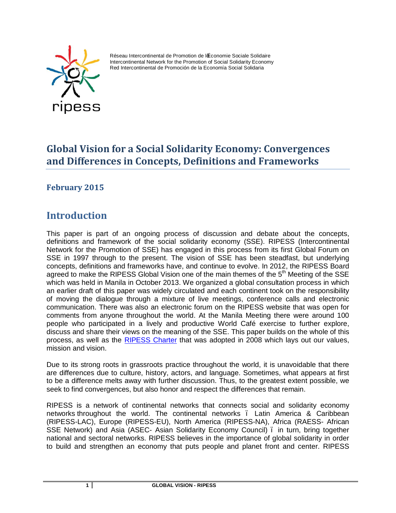

Réseau Intercontinental de Promotion de l'Économie Sociale Solidaire Intercontinental Network for the Promotion of Social Solidarity Economy Red Intercontinental de Promoción de la Economía Social Solidaria

# **Global Vision for a Social Solidarity Economy: Convergences and Differences in Concepts, Definitions and Frameworks**

**February 2015**

# **Introduction**

This paper is part of an ongoing process of discussion and debate about the concepts, definitions and framework of the social solidarity economy (SSE). RIPESS (Intercontinental Network for the Promotion of SSE) has engaged in this process from its first Global Forum on SSE in 1997 through to the present. The vision of SSE has been steadfast, but underlying concepts, definitions and frameworks have, and continue to evolve. In 2012, the RIPESS Board agreed to make the RIPESS Global Vision one of the main themes of the  $5<sup>th</sup>$  Meeting of the SSE which was held in Manila in October 2013. We organized a global consultation process in which an earlier draft of this paper was widely circulated and each continent took on the responsibility of moving the dialogue through a mixture of live meetings, conference calls and electronic communication. There was also an electronic forum on the RIPESS website that was open for comments from anyone throughout the world. At the Manila Meeting there were around 100 people who participated in a lively and productive World Café exercise to further explore, discuss and share their views on the meaning of the SSE. This paper builds on the whole of this process, as well as the [RIPESS Charter](http://ripess.org/RIPESS_charter_EN.pdf) that was adopted in 2008 which lays out our values, mission and vision.

Due to its strong roots in grassroots practice throughout the world, it is unavoidable that there are differences due to culture, history, actors, and language. Sometimes, what appears at first to be a difference melts away with further discussion. Thus, to the greatest extent possible, we seek to find convergences, but also honor and respect the differences that remain.

RIPESS is a network of continental networks that connects social and solidarity economy networks throughout the world. The continental networks . Latin America & Caribbean (RIPESS-LAC), Europe (RIPESS-EU), North America (RIPESS-NA), Africa (RAESS- African SSE Network) and Asia (ASEC- Asian Solidarity Economy Council) . in turn, bring together national and sectoral networks. RIPESS believes in the importance of global solidarity in order to build and strengthen an economy that puts people and planet front and center. RIPESS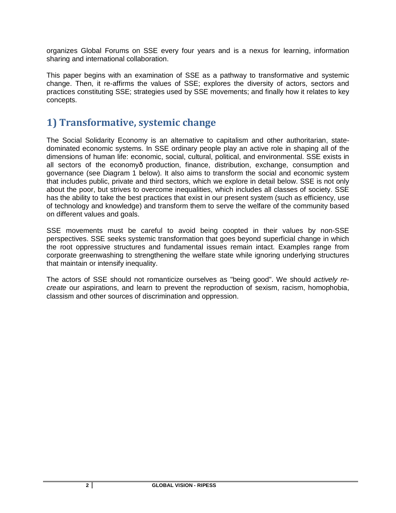organizes Global Forums on SSE every four years and is a nexus for learning, information sharing and international collaboration.

This paper begins with an examination of SSE as a pathway to transformative and systemic change. Then, it re-affirms the values of SSE; explores the diversity of actors, sectors and practices constituting SSE; strategies used by SSE movements; and finally how it relates to key concepts.

## **1) Transformative, systemic change**

The Social Solidarity Economy is an alternative to capitalism and other authoritarian, statedominated economic systems. In SSE ordinary people play an active role in shaping all of the dimensions of human life: economic, social, cultural, political, and environmental. SSE exists in all sectors of the economy—production, finance, distribution, exchange, consumption and governance (see Diagram 1 below). It also aims to transform the social and economic system that includes public, private and third sectors, which we explore in detail below. SSE is not only about the poor, but strives to overcome inequalities, which includes all classes of society. SSE has the ability to take the best practices that exist in our present system (such as efficiency, use of technology and knowledge) and transform them to serve the welfare of the community based on different values and goals.

SSE movements must be careful to avoid being coopted in their values by non-SSE perspectives. SSE seeks systemic transformation that goes beyond superficial change in which the root oppressive structures and fundamental issues remain intact. Examples range from corporate greenwashing to strengthening the welfare state while ignoring underlying structures that maintain or intensify inequality.

The actors of SSE should not romanticize ourselves as "being good". We should *actively recreate* our aspirations, and learn to prevent the reproduction of sexism, racism, homophobia, classism and other sources of discrimination and oppression.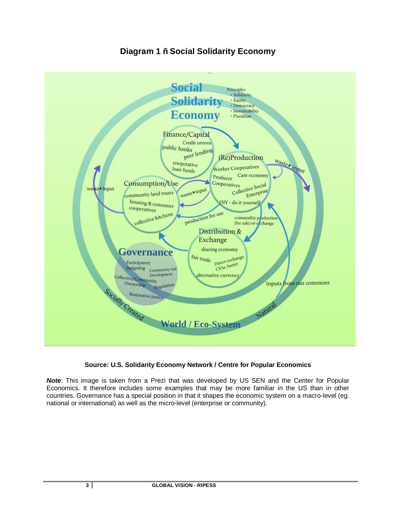#### **Social** Principles<br>• Solidarity **Solidarity** · Equity · Democracy · Sustainability **Economy** · Pluralism Finance/Capital Credit unions public banks anks<br>peer lending (Re)Production waster input cooperative Worker Cooperatives loan funds Care economy Producer Consumption/Use tives<br>Collective Social Cooperatives waste>Input waster input ctive Society community land trusts housing & consumer DIY - do it yourself cooperatives production for use collective kitchens commodity production (for sale) or exchange Distribution & Exchange sharing economy Governance fair trade pirect exchange Participatory Direct exempt budgeting Community-led Development alternative currency Deve<br>Collective/Community<br>Owners ki Inputs from our commons Ownership Regulation Socially Created Restorative Justice Natur **World / Eco-System**

## **Diagram 1 – Social Solidarity Economy**

#### **Source: U.S. Solidarity Economy Network / Centre for Popular Economics**

*Note*: This image is taken from a Prezi that was developed by US SEN and the Center for Popular Economics. It therefore includes some examples that may be more familiar in the US than in other countries. Governance has a special position in that it shapes the economic system on a macro-level (eg. national or international) as well as the micro-level (enterprise or community).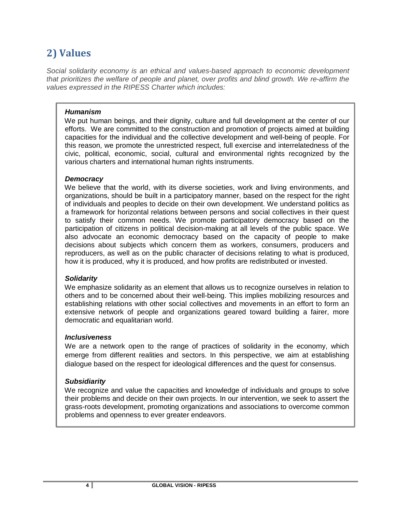# **2) Values**

*Social solidarity economy is an ethical and values-based approach to economic development that prioritizes the welfare of people and planet, over profits and blind growth. We re-affirm the values expressed in the RIPESS Charter which includes:*

#### *Humanism*

We put human beings, and their dignity, culture and full development at the center of our efforts. We are committed to the construction and promotion of projects aimed at building capacities for the individual and the collective development and well-being of people. For this reason, we promote the unrestricted respect, full exercise and interrelatedness of the civic, political, economic, social, cultural and environmental rights recognized by the various charters and international human rights instruments.

#### *Democracy*

We believe that the world, with its diverse societies, work and living environments, and organizations, should be built in a participatory manner, based on the respect for the right of individuals and peoples to decide on their own development. We understand politics as a framework for horizontal relations between persons and social collectives in their quest to satisfy their common needs. We promote participatory democracy based on the participation of citizens in political decision-making at all levels of the public space. We also advocate an economic democracy based on the capacity of people to make decisions about subjects which concern them as workers, consumers, producers and reproducers, as well as on the public character of decisions relating to what is produced, how it is produced, why it is produced, and how profits are redistributed or invested.

#### *Solidarity*

We emphasize solidarity as an element that allows us to recognize ourselves in relation to others and to be concerned about their well-being. This implies mobilizing resources and establishing relations with other social collectives and movements in an effort to form an extensive network of people and organizations geared toward building a fairer, more democratic and equalitarian world.

#### *Inclusiveness*

We are a network open to the range of practices of solidarity in the economy, which emerge from different realities and sectors. In this perspective, we aim at establishing dialogue based on the respect for ideological differences and the quest for consensus.

#### *Subsidiarity*

We recognize and value the capacities and knowledge of individuals and groups to solve their problems and decide on their own projects. In our intervention, we seek to assert the grass-roots development, promoting organizations and associations to overcome common problems and openness to ever greater endeavors.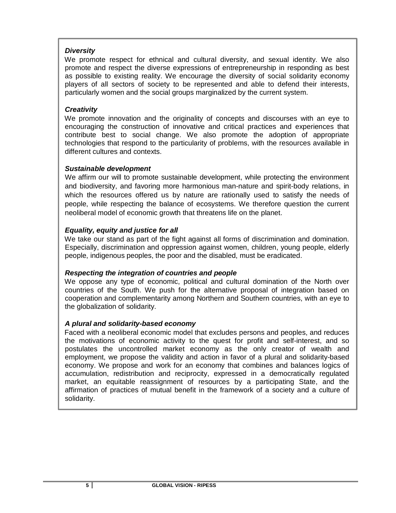#### *Diversity*

We promote respect for ethnical and cultural diversity, and sexual identity. We also promote and respect the diverse expressions of entrepreneurship in responding as best as possible to existing reality. We encourage the diversity of social solidarity economy players of all sectors of society to be represented and able to defend their interests, particularly women and the social groups marginalized by the current system.

#### *Creativity*

We promote innovation and the originality of concepts and discourses with an eye to encouraging the construction of innovative and critical practices and experiences that contribute best to social change. We also promote the adoption of appropriate technologies that respond to the particularity of problems, with the resources available in different cultures and contexts.

#### *Sustainable development*

We affirm our will to promote sustainable development, while protecting the environment and biodiversity, and favoring more harmonious man-nature and spirit-body relations, in which the resources offered us by nature are rationally used to satisfy the needs of people, while respecting the balance of ecosystems. We therefore question the current neoliberal model of economic growth that threatens life on the planet.

#### *Equality, equity and justice for all*

We take our stand as part of the fight against all forms of discrimination and domination. Especially, discrimination and oppression against women, children, young people, elderly people, indigenous peoples, the poor and the disabled, must be eradicated.

#### *Respecting the integration of countries and people*

We oppose any type of economic, political and cultural domination of the North over countries of the South. We push for the alternative proposal of integration based on cooperation and complementarity among Northern and Southern countries, with an eye to the globalization of solidarity.

#### *A plural and solidarity-based economy*

Faced with a neoliberal economic model that excludes persons and peoples, and reduces the motivations of economic activity to the quest for profit and self-interest, and so postulates the uncontrolled market economy as the only creator of wealth and employment, we propose the validity and action in favor of a plural and solidarity-based economy. We propose and work for an economy that combines and balances logics of accumulation, redistribution and reciprocity, expressed in a democratically regulated market, an equitable reassignment of resources by a participating State, and the affirmation of practices of mutual benefit in the framework of a society and a culture of solidarity.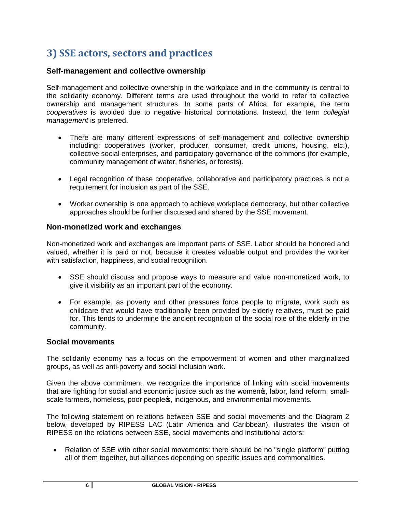# **3) SSE actors, sectors and practices**

#### **Self-management and collective ownership**

Self-management and collective ownership in the workplace and in the community is central to the solidarity economy. Different terms are used throughout the world to refer to collective ownership and management structures. In some parts of Africa, for example, the term *cooperatives* is avoided due to negative historical connotations. Instead, the term *collegial management* is preferred.

- · There are many different expressions of self-management and collective ownership including: cooperatives (worker, producer, consumer, credit unions, housing, etc.), collective social enterprises, and participatory governance of the commons (for example, community management of water, fisheries, or forests).
- · Legal recognition of these cooperative, collaborative and participatory practices is not a requirement for inclusion as part of the SSE.
- · Worker ownership is one approach to achieve workplace democracy, but other collective approaches should be further discussed and shared by the SSE movement.

#### **Non-monetized work and exchanges**

Non-monetized work and exchanges are important parts of SSE. Labor should be honored and valued, whether it is paid or not, because it creates valuable output and provides the worker with satisfaction, happiness, and social recognition.

- · SSE should discuss and propose ways to measure and value non-monetized work, to give it visibility as an important part of the economy.
- · For example, as poverty and other pressures force people to migrate, work such as childcare that would have traditionally been provided by elderly relatives, must be paid for. This tends to undermine the ancient recognition of the social role of the elderly in the community.

#### **Social movements**

The solidarity economy has a focus on the empowerment of women and other marginalized groups, as well as anti-poverty and social inclusion work.

Given the above commitment, we recognize the importance of linking with social movements that are fighting for social and economic justice such as the women  $\boldsymbol{\epsilon}$ , labor, land reform, smallscale farmers, homeless, poor people s, indigenous, and environmental movements.

The following statement on relations between SSE and social movements and the Diagram 2 below, developed by RIPESS LAC (Latin America and Caribbean), illustrates the vision of RIPESS on the relations between SSE, social movements and institutional actors:

• Relation of SSE with other social movements: there should be no "single platform" putting all of them together, but alliances depending on specific issues and commonalities.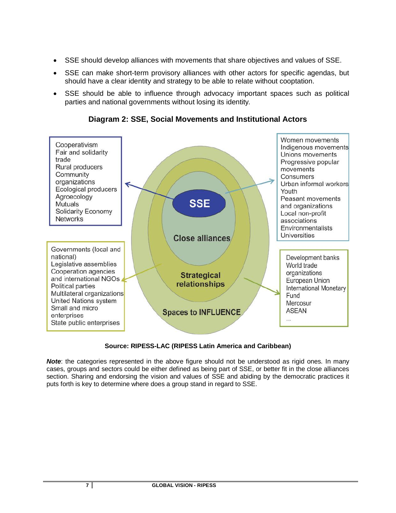- · SSE should develop alliances with movements that share objectives and values of SSE.
- · SSE can make short-term provisory alliances with other actors for specific agendas, but should have a clear identity and strategy to be able to relate without cooptation.
- SSE should be able to influence through advocacy important spaces such as political parties and national governments without losing its identity.



**Diagram 2: SSE, Social Movements and Institutional Actors** 

#### **Source: RIPESS-LAC (RIPESS Latin America and Caribbean)**

**Note:** the categories represented in the above figure should not be understood as rigid ones. In many cases, groups and sectors could be either defined as being part of SSE, or better fit in the close alliances section. Sharing and endorsing the vision and values of SSE and abiding by the democratic practices it puts forth is key to determine where does a group stand in regard to SSE.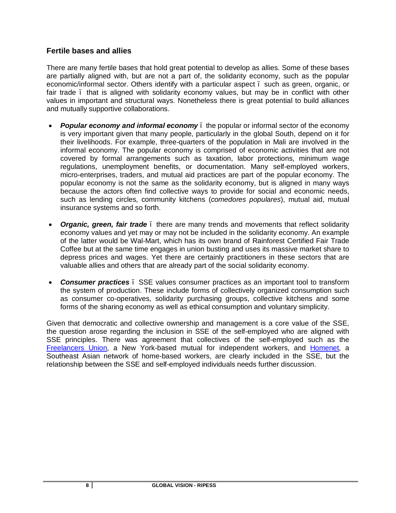#### **Fertile bases and allies**

There are many fertile bases that hold great potential to develop as allies. Some of these bases are partially aligned with, but are not a part of, the solidarity economy, such as the popular economic/informal sector. Others identify with a particular aspect – such as green, organic, or fair trade . that is aligned with solidarity economy values, but may be in conflict with other values in important and structural ways. Nonetheless there is great potential to build alliances and mutually supportive collaborations.

- · *Popular economy and informal economy* the popular or informal sector of the economy is very important given that many people, particularly in the global South, depend on it for their livelihoods. For example, three-quarters of the population in Mali are involved in the informal economy. The popular economy is comprised of economic activities that are not covered by formal arrangements such as taxation, labor protections, minimum wage regulations, unemployment benefits, or documentation. Many self-employed workers, micro-enterprises, traders, and mutual aid practices are part of the popular economy. The popular economy is not the same as the solidarity economy, but is aligned in many ways because the actors often find collective ways to provide for social and economic needs, such as lending circles, community kitchens (*comedores populares*), mutual aid, mutual insurance systems and so forth.
- **Organic, green, fair trade**. there are many trends and movements that reflect solidarity economy values and yet may or may not be included in the solidarity economy. An example of the latter would be Wal-Mart, which has its own brand of Rainforest Certified Fair Trade Coffee but at the same time engages in union busting and uses its massive market share to depress prices and wages. Yet there are certainly practitioners in these sectors that are valuable allies and others that are already part of the social solidarity economy.
- · *Consumer practices* SSE values consumer practices as an important tool to transform the system of production. These include forms of collectively organized consumption such as consumer co-operatives, solidarity purchasing groups, collective kitchens and some forms of the sharing economy as well as ethical consumption and voluntary simplicity.

Given that democratic and collective ownership and management is a core value of the SSE, the question arose regarding the inclusion in SSE of the self-employed who are aligned with SSE principles. There was agreement that collectives of the self-employed such as the [Freelancers Union](https://www.freelancersunion.org/), a New York-based mutual for independent workers, and [Homenet,](http://www.homenetsouthasia.net/) a Southeast Asian network of home-based workers, are clearly included in the SSE, but the relationship between the SSE and self-employed individuals needs further discussion.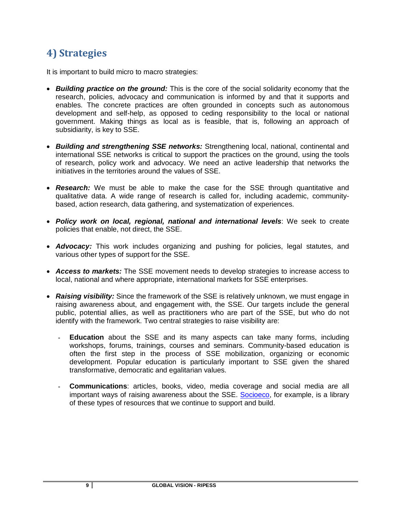# **4) Strategies**

It is important to build micro to macro strategies:

- · *Building practice on the ground:* This is the core of the social solidarity economy that the research, policies, advocacy and communication is informed by and that it supports and enables. The concrete practices are often grounded in concepts such as autonomous development and self-help, as opposed to ceding responsibility to the local or national government. Making things as local as is feasible, that is, following an approach of subsidiarity, is key to SSE.
- · *Building and strengthening SSE networks:* Strengthening local, national, continental and international SSE networks is critical to support the practices on the ground, using the tools of research, policy work and advocacy. We need an active leadership that networks the initiatives in the territories around the values of SSE.
- · *Research:* We must be able to make the case for the SSE through quantitative and qualitative data. A wide range of research is called for, including academic, communitybased, action research, data gathering, and systematization of experiences.
- · *Policy work on local, regional, national and international levels*: We seek to create policies that enable, not direct, the SSE.
- · *Advocacy:* This work includes organizing and pushing for policies, legal statutes, and various other types of support for the SSE.
- · *Access to markets:* The SSE movement needs to develop strategies to increase access to local, national and where appropriate, international markets for SSE enterprises.
- · *Raising visibility:* Since the framework of the SSE is relatively unknown, we must engage in raising awareness about, and engagement with, the SSE. Our targets include the general public, potential allies, as well as practitioners who are part of the SSE, but who do not identify with the framework. Two central strategies to raise visibility are:
	- **Education** about the SSE and its many aspects can take many forms, including workshops, forums, trainings, courses and seminars. Community-based education is often the first step in the process of SSE mobilization, organizing or economic development. Popular education is particularly important to SSE given the shared transformative, democratic and egalitarian values.
	- **Communications**: articles, books, video, media coverage and social media are all important ways of raising awareness about the SSE. [Socioeco,](http://www.socioeco.org/) for example, is a library of these types of resources that we continue to support and build.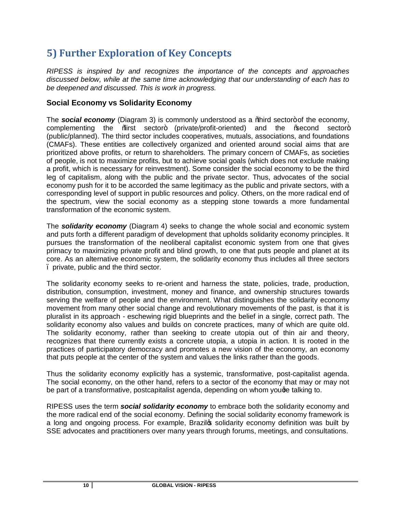# **5) Further Exploration of Key Concepts**

*RIPESS is inspired by and recognizes the importance of the concepts and approaches discussed below, while at the same time acknowledging that our understanding of each has to be deepened and discussed. This is work in progress.*

### **Social Economy vs Solidarity Economy**

The **social economy** (Diagram 3) is commonly understood as a *%* bird sector+ of the economy, complementing the % isst sector+ (private/profit-oriented) and the % second sector+ (public/planned). The third sector includes cooperatives, mutuals, associations, and foundations (CMAFs). These entities are collectively organized and oriented around social aims that are prioritized above profits, or return to shareholders. The primary concern of CMAFs, as societies of people, is not to maximize profits, but to achieve social goals (which does not exclude making a profit, which is necessary for reinvestment). Some consider the social economy to be the third leg of capitalism, along with the public and the private sector. Thus, advocates of the social economy push for it to be accorded the same legitimacy as the public and private sectors, with a corresponding level of support in public resources and policy. Others, on the more radical end of the spectrum, view the social economy as a stepping stone towards a more fundamental transformation of the economic system.

The *solidarity economy* (Diagram 4) seeks to change the whole social and economic system and puts forth a different paradigm of development that upholds solidarity economy principles. It pursues the transformation of the neoliberal capitalist economic system from one that gives primacy to maximizing private profit and blind growth, to one that puts people and planet at its core. As an alternative economic system, the solidarity economy thus includes all three sectors – private, public and the third sector.

The solidarity economy seeks to re-orient and harness the state, policies, trade, production, distribution, consumption, investment, money and finance, and ownership structures towards serving the welfare of people and the environment. What distinguishes the solidarity economy movement from many other social change and revolutionary movements of the past, is that it is pluralist in its approach - eschewing rigid blueprints and the belief in a single, correct path. The solidarity economy also values and builds on concrete practices, many of which are quite old. The solidarity economy, rather than seeking to create utopia out of thin air and theory, recognizes that there currently exists a concrete utopia, a utopia in action. It is rooted in the practices of participatory democracy and promotes a new vision of the economy, an economy that puts people at the center of the system and values the links rather than the goods.

Thus the solidarity economy explicitly has a systemic, transformative, post-capitalist agenda. The social economy, on the other hand, refers to a sector of the economy that may or may not be part of a transformative, postcapitalist agenda, depending on whom youge talking to.

RIPESS uses the term *social solidarity economy* to embrace both the solidarity economy and the more radical end of the social economy. Defining the social solidarity economy framework is a long and ongoing process. For example, Brazilos solidarity economy definition was built by SSE advocates and practitioners over many years through forums, meetings, and consultations.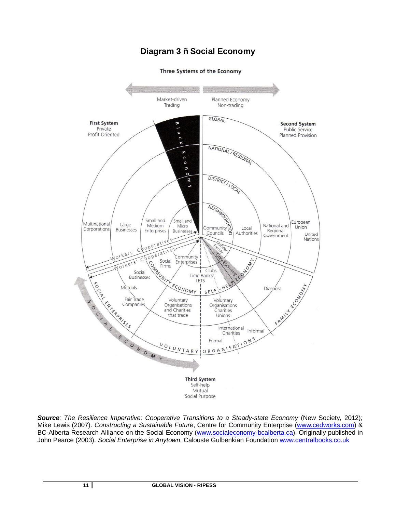### **Diagram 3 – Social Economy**

#### Three Systems of the Economy



*Source: The Resilience Imperative: Cooperative Transitions to a Steady-state Economy* (New Society, 2012); Mike Lewis (2007). *Constructing a Sustainable Future*, Centre for Community Enterprise [\(www.cedworks.com\)](http://www.cedworks.com/) & BC-Alberta Research Alliance on the Social Economy [\(www.socialeconomy-bcalberta.ca](http://www.socialeconomy-bcalberta.ca/)). Originally published in John Pearce (2003). *Social Enterprise in Anytown*, Calouste Gulbenkian Foundation w[ww.centralbooks.co.uk](http://www.centralbooks.co.uk/)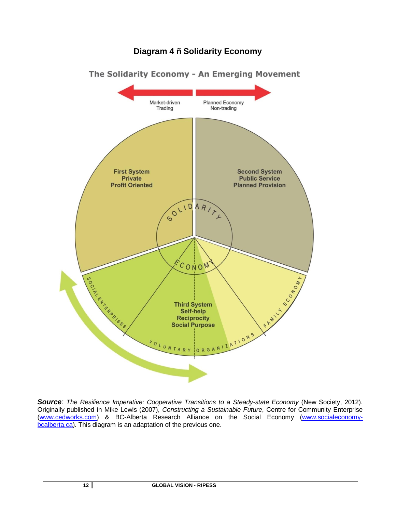### **Diagram 4 – Solidarity Economy**



*Source: The Resilience Imperative: Cooperative Transitions to a Steady-state Economy* (New Society, 2012). Originally published in Mike Lewis (2007), *Constructing a Sustainable Future*, Centre for Community Enterprise [\(www.cedworks.com\)](http://www.cedworks.com/) & BC-Alberta Research Alliance on the Social Economy [\(www.socialeconomy](http://www.socialeconomy-bcalberta.ca/)[bcalberta.ca\)](http://www.socialeconomy-bcalberta.ca/). This diagram is an adaptation of the previous one.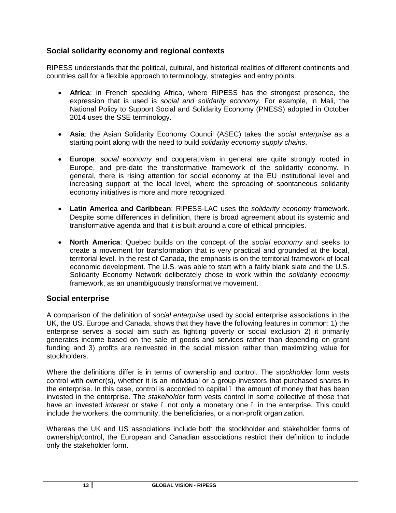### **Social solidarity economy and regional contexts**

RIPESS understands that the political, cultural, and historical realities of different continents and countries call for a flexible approach to terminology, strategies and entry points.

- · **Africa**: in French speaking Africa, where RIPESS has the strongest presence, the expression that is used is *social and solidarity economy*. For example, in Mali, the National Policy to Support Social and Solidarity Economy (PNESS) adopted in October 2014 uses the SSE terminology.
- · **Asia**: the Asian Solidarity Economy Council (ASEC) takes the *social enterprise* as a starting point along with the need to build *solidarity economy supply chains*.
- · **Europe**: *social economy* and cooperativism in general are quite strongly rooted in Europe, and pre-date the transformative framework of the solidarity economy. In general, there is rising attention for social economy at the EU institutional level and increasing support at the local level, where the spreading of spontaneous solidarity economy initiatives is more and more recognized.
- · **Latin America and Caribbean**: RIPESS-LAC uses the *solidarity economy* framework. Despite some differences in definition, there is broad agreement about its systemic and transformative agenda and that it is built around a core of ethical principles.
- · **North America**: Quebec builds on the concept of the *social economy* and seeks to create a movement for transformation that is very practical and grounded at the local, territorial level. In the rest of Canada, the emphasis is on the territorial framework of local economic development. The U.S. was able to start with a fairly blank slate and the U.S. Solidarity Economy Network deliberately chose to work within the *solidarity economy* framework, as an unambiguously transformative movement.

#### **Social enterprise**

A comparison of the definition of *social enterprise* used by social enterprise associations in the UK, the US, Europe and Canada, shows that they have the following features in common: 1) the enterprise serves a social aim such as fighting poverty or social exclusion 2) it primarily generates income based on the sale of goods and services rather than depending on grant funding and 3) profits are reinvested in the social mission rather than maximizing value for stockholders.

Where the definitions differ is in terms of ownership and control. The *stockholder* form vests control with owner(s), whether it is an individual or a group investors that purchased shares in the enterprise. In this case, control is accorded to capital – the amount of money that has been invested in the enterprise. The *stakeholder* form vests control in some collective of those that have an invested *interest* or *stake* . not only a monetary one . in the enterprise. This could include the workers, the community, the beneficiaries, or a non-profit organization.

Whereas the UK and US associations include both the stockholder and stakeholder forms of ownership/control, the European and Canadian associations restrict their definition to include only the stakeholder form.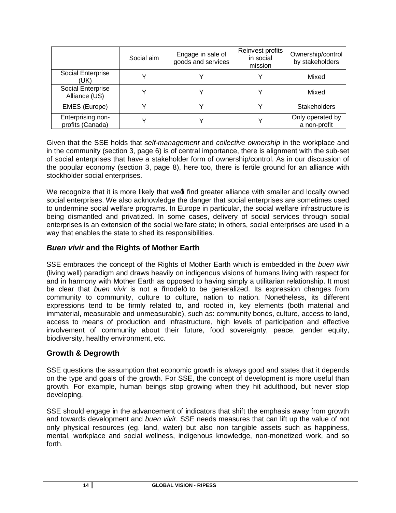|                                       | Social aim | Engage in sale of<br>goods and services | Reinvest profits<br>in social<br>mission | Ownership/control<br>by stakeholders |
|---------------------------------------|------------|-----------------------------------------|------------------------------------------|--------------------------------------|
| Social Enterprise<br>(UK)             |            |                                         |                                          | Mixed                                |
| Social Enterprise<br>Alliance (US)    |            |                                         |                                          | Mixed                                |
| <b>EMES</b> (Europe)                  |            |                                         |                                          | <b>Stakeholders</b>                  |
| Enterprising non-<br>profits (Canada) |            |                                         |                                          | Only operated by<br>a non-profit     |

Given that the SSE holds that *self-management* and *collective ownership* in the workplace and in the community (section 3, page 6) is of central importance, there is alignment with the sub-set of social enterprises that have a stakeholder form of ownership/control. As in our discussion of the popular economy (section 3, page 8), here too, there is fertile ground for an alliance with stockholder social enterprises.

We recognize that it is more likely that wed find greater alliance with smaller and locally owned social enterprises. We also acknowledge the danger that social enterprises are sometimes used to undermine social welfare programs. In Europe in particular, the social welfare infrastructure is being dismantled and privatized. In some cases, delivery of social services through social enterprises is an extension of the social welfare state; in others, social enterprises are used in a way that enables the state to shed its responsibilities.

### *Buen vivir* **and the Rights of Mother Earth**

SSE embraces the concept of the Rights of Mother Earth which is embedded in the *buen vivir* (living well) paradigm and draws heavily on indigenous visions of humans living with respect for and in harmony with Mother Earth as opposed to having simply a utilitarian relationship. It must be clear that *buen vivir* is not a *%*nodel+ to be generalized. Its expression changes from community to community, culture to culture, nation to nation. Nonetheless, its different expressions tend to be firmly related to, and rooted in, key elements (both material and immaterial, measurable and unmeasurable), such as: community bonds, culture, access to land, access to means of production and infrastructure, high levels of participation and effective involvement of community about their future, food sovereignty, peace, gender equity, biodiversity, healthy environment, etc.

#### **Growth & Degrowth**

SSE questions the assumption that economic growth is always good and states that it depends on the type and goals of the growth. For SSE, the concept of development is more useful than growth. For example, human beings stop growing when they hit adulthood, but never stop developing.

SSE should engage in the advancement of indicators that shift the emphasis away from growth and towards development and *buen vivir*. SSE needs measures that can lift up the value of not only physical resources (eg. land, water) but also non tangible assets such as happiness, mental, workplace and social wellness, indigenous knowledge, non-monetized work, and so forth.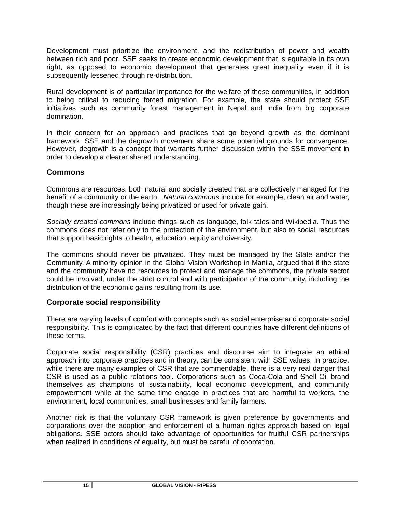Development must prioritize the environment, and the redistribution of power and wealth between rich and poor. SSE seeks to create economic development that is equitable in its own right, as opposed to economic development that generates great inequality even if it is subsequently lessened through re-distribution.

Rural development is of particular importance for the welfare of these communities, in addition to being critical to reducing forced migration. For example, the state should protect SSE initiatives such as community forest management in Nepal and India from big corporate domination.

In their concern for an approach and practices that go beyond growth as the dominant framework, SSE and the degrowth movement share some potential grounds for convergence. However, degrowth is a concept that warrants further discussion within the SSE movement in order to develop a clearer shared understanding.

### **Commons**

Commons are resources, both natural and socially created that are collectively managed for the benefit of a community or the earth. *Natural commons* include for example, clean air and water, though these are increasingly being privatized or used for private gain.

*Socially created commons* include things such as language, folk tales and Wikipedia. Thus the commons does not refer only to the protection of the environment, but also to social resources that support basic rights to health, education, equity and diversity.

The commons should never be privatized. They must be managed by the State and/or the Community. A minority opinion in the Global Vision Workshop in Manila, argued that if the state and the community have no resources to protect and manage the commons, the private sector could be involved, under the strict control and with participation of the community, including the distribution of the economic gains resulting from its use.

#### **Corporate social responsibility**

There are varying levels of comfort with concepts such as social enterprise and corporate social responsibility. This is complicated by the fact that different countries have different definitions of these terms.

Corporate social responsibility (CSR) practices and discourse aim to integrate an ethical approach into corporate practices and in theory, can be consistent with SSE values. In practice, while there are many examples of CSR that are commendable, there is a very real danger that CSR is used as a public relations tool. Corporations such as Coca-Cola and Shell Oil brand themselves as champions of sustainability, local economic development, and community empowerment while at the same time engage in practices that are harmful to workers, the environment, local communities, small businesses and family farmers.

Another risk is that the voluntary CSR framework is given preference by governments and corporations over the adoption and enforcement of a human rights approach based on legal obligations. SSE actors should take advantage of opportunities for fruitful CSR partnerships when realized in conditions of equality, but must be careful of cooptation.